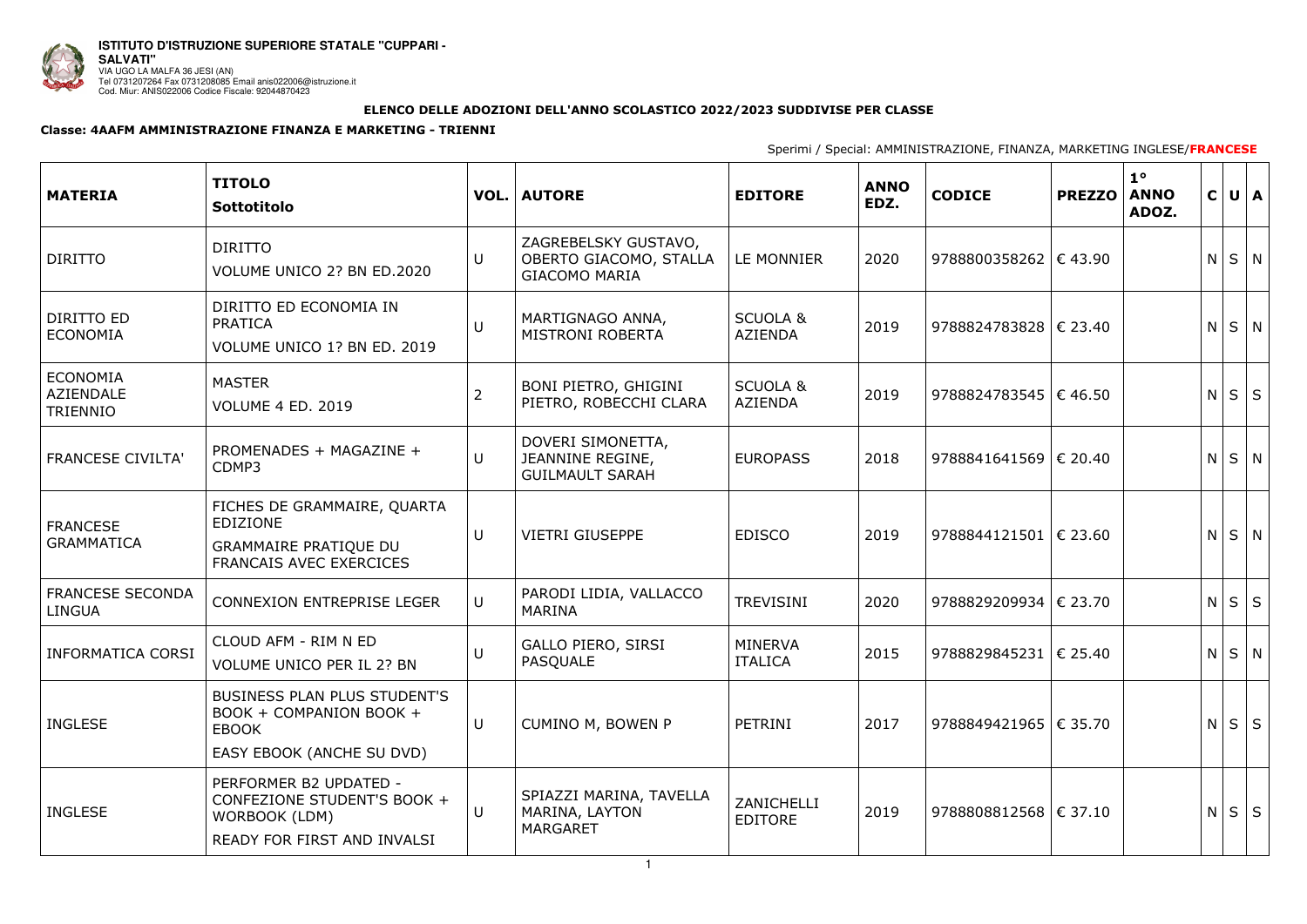

1

## **ELENCO DELLE ADOZIONI DELL'ANNO SCOLASTICO 2022/2023 SUDDIVISE PER CLASSE**

### **Classe: 4AAFM AMMINISTRAZIONE FINANZA E MARKETING - TRIENNI**

Sperimi / Special: AMMINISTRAZIONE, FINANZA, MARKETING INGLESE/**FRANCESE**

| <b>MATERIA</b>                                         | <b>TITOLO</b><br>Sottotitolo                                                                                     |                | <b>VOL. AUTORE</b>                                                     | <b>EDITORE</b>                        | <b>ANNO</b><br>EDZ. | <b>CODICE</b>                  | <b>PREZZO</b> | $1^{\circ}$<br><b>ANNO</b><br>ADOZ. | $\mathsf{C}$ |             | $U$ $A$    |
|--------------------------------------------------------|------------------------------------------------------------------------------------------------------------------|----------------|------------------------------------------------------------------------|---------------------------------------|---------------------|--------------------------------|---------------|-------------------------------------|--------------|-------------|------------|
| <b>DIRITTO</b>                                         | <b>DIRITTO</b><br>VOLUME UNICO 2? BN ED.2020                                                                     | $\cup$         | ZAGREBELSKY GUSTAVO,<br>OBERTO GIACOMO, STALLA<br><b>GIACOMO MARIA</b> | LE MONNIER                            | 2020                | 9788800358262   $\in$ 43.90    |               |                                     |              | $N$ $S$ $N$ |            |
| DIRITTO ED<br><b>ECONOMIA</b>                          | DIRITTO ED ECONOMIA IN<br><b>PRATICA</b><br>VOLUME UNICO 1? BN ED. 2019                                          | $\cup$         | MARTIGNAGO ANNA,<br><b>MISTRONI ROBERTA</b>                            | <b>SCUOLA &amp;</b><br><b>AZIENDA</b> | 2019                | 9788824783828 $\in$ 23.40      |               |                                     | N            |             | $S \mid N$ |
| <b>ECONOMIA</b><br><b>AZIENDALE</b><br><b>TRIENNIO</b> | <b>MASTER</b><br>VOLUME 4 ED. 2019                                                                               | $\overline{2}$ | <b>BONI PIETRO, GHIGINI</b><br>PIETRO, ROBECCHI CLARA                  | <b>SCUOLA &amp;</b><br><b>AZIENDA</b> | 2019                | 9788824783545   € 46.50        |               |                                     | N            |             | $S \mid S$ |
| <b>FRANCESE CIVILTA'</b>                               | PROMENADES + MAGAZINE +<br>CDMP3                                                                                 | $\cup$         | DOVERI SIMONETTA,<br>JEANNINE REGINE,<br><b>GUILMAULT SARAH</b>        | <b>EUROPASS</b>                       | 2018                | 9788841641569 $\epsilon$ 20.40 |               |                                     | N            |             | $S \mid N$ |
| <b>FRANCESE</b><br><b>GRAMMATICA</b>                   | FICHES DE GRAMMAIRE, QUARTA<br><b>EDIZIONE</b><br><b>GRAMMAIRE PRATIQUE DU</b><br><b>FRANCAIS AVEC EXERCICES</b> | $\cup$         | <b>VIETRI GIUSEPPE</b>                                                 | <b>EDISCO</b>                         | 2019                | 9788844121501 $\in$ 23.60      |               |                                     | N            |             | $S \mid N$ |
| <b>FRANCESE SECONDA</b><br><b>LINGUA</b>               | <b>CONNEXION ENTREPRISE LEGER</b>                                                                                | $\bigcup$      | PARODI LIDIA, VALLACCO<br><b>MARINA</b>                                | <b>TREVISINI</b>                      | 2020                | 9788829209934   € 23.70        |               |                                     | N            |             | $S \mid S$ |
| <b>INFORMATICA CORSI</b>                               | CLOUD AFM - RIM N ED<br><b>VOLUME UNICO PER IL 2? BN</b>                                                         | $\cup$         | <b>GALLO PIERO, SIRSI</b><br>PASQUALE                                  | <b>MINERVA</b><br><b>ITALICA</b>      | 2015                | 9788829845231 $\in$ 25.40      |               |                                     |              | $N$ $S$ $N$ |            |
| <b>INGLESE</b>                                         | <b>BUSINESS PLAN PLUS STUDENT'S</b><br>BOOK + COMPANION BOOK +<br><b>EBOOK</b><br>EASY EBOOK (ANCHE SU DVD)      | $\cup$         | <b>CUMINO M, BOWEN P</b>                                               | PETRINI                               | 2017                | 9788849421965   € 35.70        |               |                                     | N            |             | $S \mid S$ |
| <b>INGLESE</b>                                         | PERFORMER B2 UPDATED -<br>CONFEZIONE STUDENT'S BOOK +<br>WORBOOK (LDM)<br>READY FOR FIRST AND INVALSI            | U              | SPIAZZI MARINA, TAVELLA<br>MARINA, LAYTON<br><b>MARGARET</b>           | ZANICHELLI<br><b>EDITORE</b>          | 2019                | 9788808812568 $\in$ 37.10      |               |                                     |              | $N$ $S$ $S$ |            |